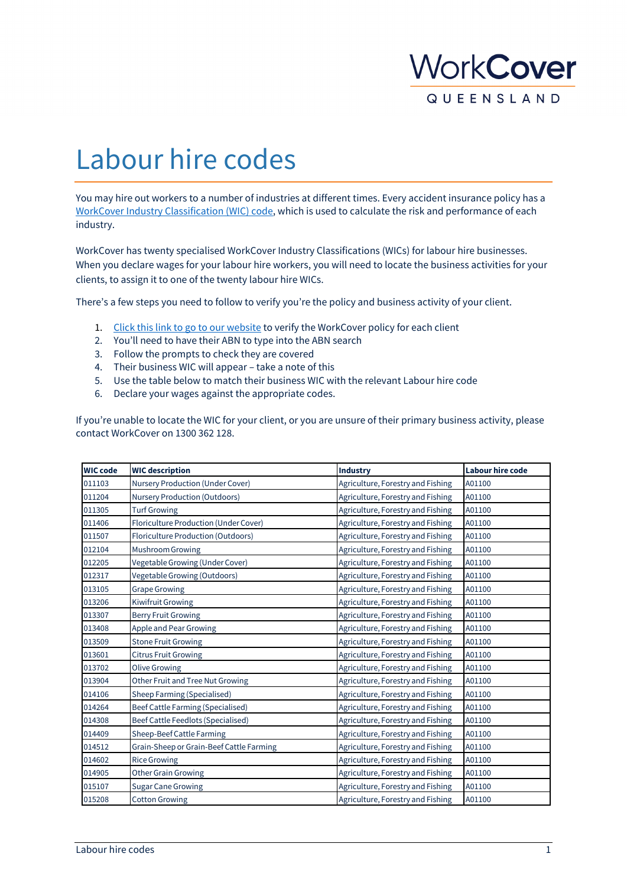

## Labour hire codes

You may hire out workers to a number of industries at different times. Every accident insurance policy has a [WorkCover Industry Classification \(WIC\) code,](https://www.worksafe.qld.gov.au/claims-and-insurance/workcover-insurance/premium-calculation/wic) which is used to calculate the risk and performance of each industry.

WorkCover has twenty specialised WorkCover Industry Classifications (WICs) for labour hire businesses. When you declare wages for your labour hire workers, you will need to locate the business activities for your clients, to assign it to one of the twenty labour hire WICs.

There's a few steps you need to follow to verify you're the policy and business activity of your client.

- 1. [Click this link to go to our website](https://ols.workcoverqld.com.au/ols/public/coverVerification.wc) to verify the WorkCover policy for each client
- 2. You'll need to have their ABN to type into the ABN search
- 3. Follow the prompts to check they are covered
- 4. Their business WIC will appear take a note of this
- 5. Use the table below to match their business WIC with the relevant Labour hire code
- 6. Declare your wages against the appropriate codes.

If you're unable to locate the WIC for your client, or you are unsure of their primary business activity, please contact WorkCover on 1300 362 128.

| <b>WIC code</b> | <b>WIC description</b>                   | <b>Industry</b>                   | <b>Labour hire code</b> |
|-----------------|------------------------------------------|-----------------------------------|-------------------------|
| 011103          | Nursery Production (Under Cover)         | Agriculture, Forestry and Fishing | A01100                  |
| 011204          | <b>Nursery Production (Outdoors)</b>     | Agriculture, Forestry and Fishing | A01100                  |
| 011305          | <b>Turf Growing</b>                      | Agriculture, Forestry and Fishing | A01100                  |
| 011406          | Floriculture Production (Under Cover)    | Agriculture, Forestry and Fishing | A01100                  |
| 011507          | Floriculture Production (Outdoors)       | Agriculture, Forestry and Fishing | A01100                  |
| 012104          | Mushroom Growing                         | Agriculture, Forestry and Fishing | A01100                  |
| 012205          | Vegetable Growing (Under Cover)          | Agriculture, Forestry and Fishing | A01100                  |
| 012317          | Vegetable Growing (Outdoors)             | Agriculture, Forestry and Fishing | A01100                  |
| 013105          | <b>Grape Growing</b>                     | Agriculture, Forestry and Fishing | A01100                  |
| 013206          | Kiwifruit Growing                        | Agriculture, Forestry and Fishing | A01100                  |
| 013307          | <b>Berry Fruit Growing</b>               | Agriculture, Forestry and Fishing | A01100                  |
| 013408          | Apple and Pear Growing                   | Agriculture, Forestry and Fishing | A01100                  |
| 013509          | <b>Stone Fruit Growing</b>               | Agriculture, Forestry and Fishing | A01100                  |
| 013601          | <b>Citrus Fruit Growing</b>              | Agriculture, Forestry and Fishing | A01100                  |
| 013702          | <b>Olive Growing</b>                     | Agriculture, Forestry and Fishing | A01100                  |
| 013904          | Other Fruit and Tree Nut Growing         | Agriculture, Forestry and Fishing | A01100                  |
| 014106          | Sheep Farming (Specialised)              | Agriculture, Forestry and Fishing | A01100                  |
| 014264          | Beef Cattle Farming (Specialised)        | Agriculture, Forestry and Fishing | A01100                  |
| 014308          | Beef Cattle Feedlots (Specialised)       | Agriculture, Forestry and Fishing | A01100                  |
| 014409          | Sheep-Beef Cattle Farming                | Agriculture, Forestry and Fishing | A01100                  |
| 014512          | Grain-Sheep or Grain-Beef Cattle Farming | Agriculture, Forestry and Fishing | A01100                  |
| 014602          | <b>Rice Growing</b>                      | Agriculture, Forestry and Fishing | A01100                  |
| 014905          | <b>Other Grain Growing</b>               | Agriculture, Forestry and Fishing | A01100                  |
| 015107          | <b>Sugar Cane Growing</b>                | Agriculture, Forestry and Fishing | A01100                  |
| 015208          | <b>Cotton Growing</b>                    | Agriculture, Forestry and Fishing | A01100                  |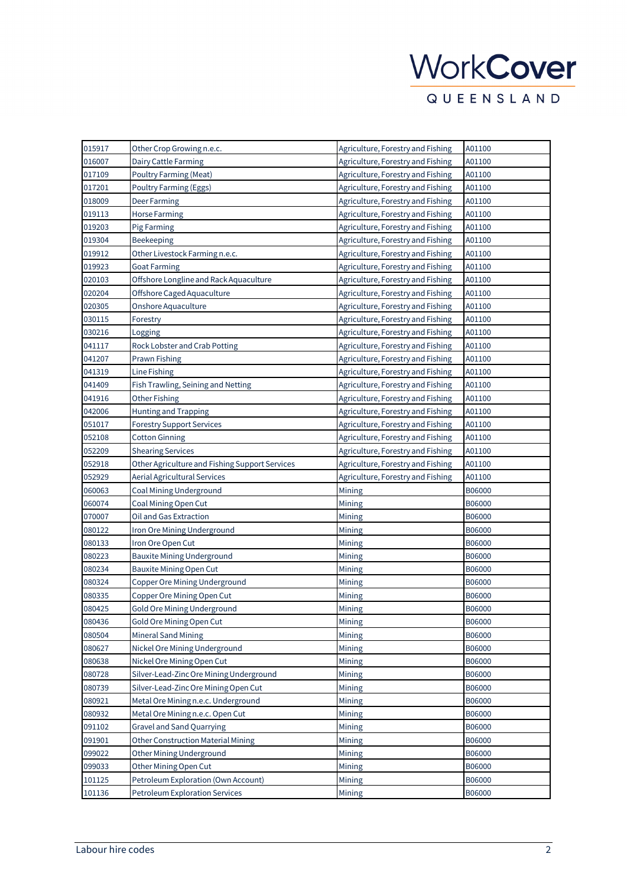| 015917 | Other Crop Growing n.e.c.                      | Agriculture, Forestry and Fishing | A01100 |
|--------|------------------------------------------------|-----------------------------------|--------|
| 016007 | Dairy Cattle Farming                           | Agriculture, Forestry and Fishing | A01100 |
| 017109 | Poultry Farming (Meat)                         | Agriculture, Forestry and Fishing | A01100 |
| 017201 | Poultry Farming (Eggs)                         | Agriculture, Forestry and Fishing | A01100 |
| 018009 | Deer Farming                                   | Agriculture, Forestry and Fishing | A01100 |
| 019113 | <b>Horse Farming</b>                           | Agriculture, Forestry and Fishing | A01100 |
| 019203 | <b>Pig Farming</b>                             | Agriculture, Forestry and Fishing | A01100 |
| 019304 | Beekeeping                                     | Agriculture, Forestry and Fishing | A01100 |
| 019912 | Other Livestock Farming n.e.c.                 | Agriculture, Forestry and Fishing | A01100 |
| 019923 | <b>Goat Farming</b>                            | Agriculture, Forestry and Fishing | A01100 |
| 020103 | Offshore Longline and Rack Aquaculture         | Agriculture, Forestry and Fishing | A01100 |
| 020204 | Offshore Caged Aquaculture                     | Agriculture, Forestry and Fishing | A01100 |
| 020305 | Onshore Aquaculture                            | Agriculture, Forestry and Fishing | A01100 |
| 030115 | Forestry                                       | Agriculture, Forestry and Fishing | A01100 |
| 030216 | Logging                                        | Agriculture, Forestry and Fishing | A01100 |
| 041117 | Rock Lobster and Crab Potting                  | Agriculture, Forestry and Fishing | A01100 |
| 041207 | <b>Prawn Fishing</b>                           | Agriculture, Forestry and Fishing | A01100 |
| 041319 | Line Fishing                                   | Agriculture, Forestry and Fishing | A01100 |
| 041409 | Fish Trawling, Seining and Netting             | Agriculture, Forestry and Fishing | A01100 |
| 041916 | <b>Other Fishing</b>                           | Agriculture, Forestry and Fishing | A01100 |
| 042006 | <b>Hunting and Trapping</b>                    | Agriculture, Forestry and Fishing | A01100 |
| 051017 | <b>Forestry Support Services</b>               | Agriculture, Forestry and Fishing | A01100 |
| 052108 | <b>Cotton Ginning</b>                          | Agriculture, Forestry and Fishing | A01100 |
| 052209 | <b>Shearing Services</b>                       | Agriculture, Forestry and Fishing | A01100 |
| 052918 | Other Agriculture and Fishing Support Services | Agriculture, Forestry and Fishing | A01100 |
| 052929 | <b>Aerial Agricultural Services</b>            | Agriculture, Forestry and Fishing | A01100 |
| 060063 | Coal Mining Underground                        | Mining                            | B06000 |
| 060074 | Coal Mining Open Cut                           | Mining                            | B06000 |
| 070007 | Oil and Gas Extraction                         | Mining                            | B06000 |
| 080122 | Iron Ore Mining Underground                    | Mining                            | B06000 |
| 080133 | Iron Ore Open Cut                              | Mining                            | B06000 |
| 080223 | Bauxite Mining Underground                     | Mining                            | B06000 |
| 080234 | <b>Bauxite Mining Open Cut</b>                 | Mining                            | B06000 |
| 080324 | Copper Ore Mining Underground                  | Mining                            | B06000 |
| 080335 | Copper Ore Mining Open Cut                     | Mining                            | B06000 |
| 080425 | Gold Ore Mining Underground                    | Mining                            | B06000 |
| 080436 | Gold Ore Mining Open Cut                       | Mining                            | B06000 |
| 080504 | <b>Mineral Sand Mining</b>                     | Mining                            | B06000 |
| 080627 | Nickel Ore Mining Underground                  | Mining                            | B06000 |
| 080638 | Nickel Ore Mining Open Cut                     | Mining                            | B06000 |
| 080728 | Silver-Lead-Zinc Ore Mining Underground        | Mining                            | B06000 |
| 080739 | Silver-Lead-Zinc Ore Mining Open Cut           | Mining                            | B06000 |
| 080921 | Metal Ore Mining n.e.c. Underground            | Mining                            | B06000 |
| 080932 | Metal Ore Mining n.e.c. Open Cut               | Mining                            | B06000 |
| 091102 | <b>Gravel and Sand Quarrying</b>               | Mining                            | B06000 |
| 091901 | Other Construction Material Mining             | Mining                            | B06000 |
| 099022 | Other Mining Underground                       | Mining                            | B06000 |
| 099033 | Other Mining Open Cut                          | Mining                            | B06000 |
| 101125 | Petroleum Exploration (Own Account)            | Mining                            | B06000 |
| 101136 | <b>Petroleum Exploration Services</b>          | Mining                            | B06000 |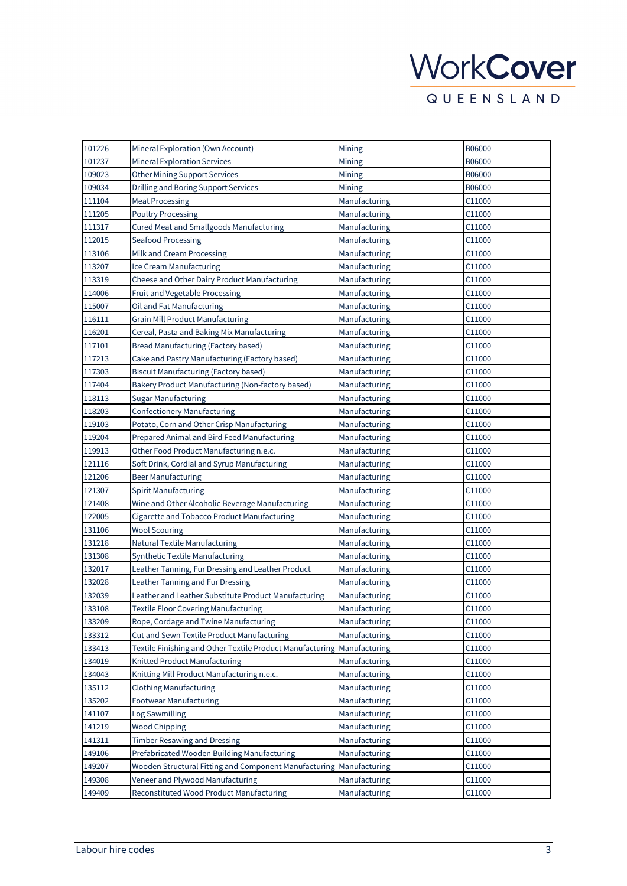| 101226 | Mineral Exploration (Own Account)                         | Mining        | B06000             |
|--------|-----------------------------------------------------------|---------------|--------------------|
| 101237 | <b>Mineral Exploration Services</b>                       | Mining        | B06000             |
| 109023 | <b>Other Mining Support Services</b>                      | Mining        | B06000             |
| 109034 | Drilling and Boring Support Services                      | Mining        | B06000             |
| 111104 | <b>Meat Processing</b>                                    | Manufacturing | C11000             |
| 111205 | <b>Poultry Processing</b>                                 | Manufacturing | C11000             |
| 111317 | Cured Meat and Smallgoods Manufacturing                   | Manufacturing | C11000             |
| 112015 | <b>Seafood Processing</b>                                 | Manufacturing | C11000             |
| 113106 | Milk and Cream Processing                                 | Manufacturing | C11000             |
| 113207 | Ice Cream Manufacturing                                   | Manufacturing | C11000             |
| 113319 | Cheese and Other Dairy Product Manufacturing              | Manufacturing | C11000             |
| 114006 | Fruit and Vegetable Processing                            | Manufacturing | C11000             |
| 115007 | Oil and Fat Manufacturing                                 | Manufacturing | C11000             |
| 116111 | <b>Grain Mill Product Manufacturing</b>                   | Manufacturing | C11000             |
| 116201 | Cereal, Pasta and Baking Mix Manufacturing                | Manufacturing | C11000             |
| 117101 | Bread Manufacturing (Factory based)                       | Manufacturing | C11000             |
| 117213 | Cake and Pastry Manufacturing (Factory based)             | Manufacturing | C11000             |
| 117303 | Biscuit Manufacturing (Factory based)                     | Manufacturing | C11000             |
| 117404 | Bakery Product Manufacturing (Non-factory based)          | Manufacturing | C11000             |
| 118113 | <b>Sugar Manufacturing</b>                                | Manufacturing | C11000             |
| 118203 | <b>Confectionery Manufacturing</b>                        | Manufacturing | C11000             |
| 119103 | Potato, Corn and Other Crisp Manufacturing                | Manufacturing | C11000             |
| 119204 | Prepared Animal and Bird Feed Manufacturing               | Manufacturing | C11000             |
| 119913 | Other Food Product Manufacturing n.e.c.                   | Manufacturing | C11000             |
| 121116 | Soft Drink, Cordial and Syrup Manufacturing               | Manufacturing | C11000             |
| 121206 | Beer Manufacturing                                        | Manufacturing | C11000             |
| 121307 | Spirit Manufacturing                                      | Manufacturing | C11000             |
| 121408 | Wine and Other Alcoholic Beverage Manufacturing           | Manufacturing | C11000             |
| 122005 | Cigarette and Tobacco Product Manufacturing               | Manufacturing | C11000             |
| 131106 | <b>Wool Scouring</b>                                      | Manufacturing | C <sub>11000</sub> |
| 131218 | Natural Textile Manufacturing                             | Manufacturing | C11000             |
| 131308 | Synthetic Textile Manufacturing                           | Manufacturing | C11000             |
| 132017 | Leather Tanning, Fur Dressing and Leather Product         | Manufacturing | C11000             |
| 132028 | Leather Tanning and Fur Dressing                          | Manufacturing | C11000             |
| 132039 | Leather and Leather Substitute Product Manufacturing      | Manufacturing | C11000             |
| 133108 | <b>Textile Floor Covering Manufacturing</b>               | Manufacturing | C11000             |
| 133209 | Rope, Cordage and Twine Manufacturing                     | Manufacturing | C11000             |
| 133312 | Cut and Sewn Textile Product Manufacturing                | Manufacturing | C11000             |
| 133413 | Textile Finishing and Other Textile Product Manufacturing | Manufacturing | C11000             |
| 134019 | Knitted Product Manufacturing                             | Manufacturing | C11000             |
| 134043 | Knitting Mill Product Manufacturing n.e.c.                | Manufacturing | C11000             |
| 135112 | <b>Clothing Manufacturing</b>                             | Manufacturing | C11000             |
| 135202 | <b>Footwear Manufacturing</b>                             | Manufacturing | C11000             |
| 141107 | Log Sawmilling                                            | Manufacturing | C11000             |
| 141219 | <b>Wood Chipping</b>                                      | Manufacturing | C11000             |
| 141311 | <b>Timber Resawing and Dressing</b>                       | Manufacturing | C11000             |
| 149106 | Prefabricated Wooden Building Manufacturing               | Manufacturing | C11000             |
| 149207 | Wooden Structural Fitting and Component Manufacturing     | Manufacturing | C11000             |
| 149308 | Veneer and Plywood Manufacturing                          | Manufacturing | C11000             |
| 149409 | Reconstituted Wood Product Manufacturing                  | Manufacturing | C11000             |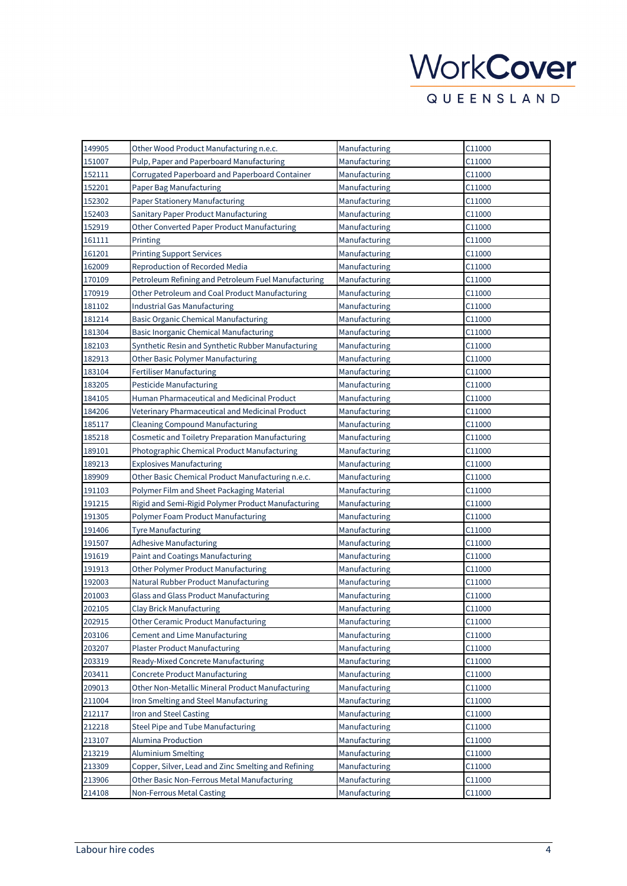| 149905 | Other Wood Product Manufacturing n.e.c.             | Manufacturing | C11000 |
|--------|-----------------------------------------------------|---------------|--------|
| 151007 | Pulp, Paper and Paperboard Manufacturing            | Manufacturing | C11000 |
| 152111 | Corrugated Paperboard and Paperboard Container      | Manufacturing | C11000 |
| 152201 | Paper Bag Manufacturing                             | Manufacturing | C11000 |
| 152302 | Paper Stationery Manufacturing                      | Manufacturing | C11000 |
| 152403 | Sanitary Paper Product Manufacturing                | Manufacturing | C11000 |
| 152919 | Other Converted Paper Product Manufacturing         | Manufacturing | C11000 |
| 161111 | Printing                                            | Manufacturing | C11000 |
| 161201 | <b>Printing Support Services</b>                    | Manufacturing | C11000 |
| 162009 | Reproduction of Recorded Media                      | Manufacturing | C11000 |
| 170109 | Petroleum Refining and Petroleum Fuel Manufacturing | Manufacturing | C11000 |
| 170919 | Other Petroleum and Coal Product Manufacturing      | Manufacturing | C11000 |
| 181102 | <b>Industrial Gas Manufacturing</b>                 | Manufacturing | C11000 |
| 181214 | <b>Basic Organic Chemical Manufacturing</b>         | Manufacturing | C11000 |
| 181304 | Basic Inorganic Chemical Manufacturing              | Manufacturing | C11000 |
| 182103 | Synthetic Resin and Synthetic Rubber Manufacturing  | Manufacturing | C11000 |
| 182913 | <b>Other Basic Polymer Manufacturing</b>            | Manufacturing | C11000 |
| 183104 | <b>Fertiliser Manufacturing</b>                     | Manufacturing | C11000 |
| 183205 | Pesticide Manufacturing                             | Manufacturing | C11000 |
| 184105 | Human Pharmaceutical and Medicinal Product          | Manufacturing | C11000 |
| 184206 | Veterinary Pharmaceutical and Medicinal Product     | Manufacturing | C11000 |
| 185117 | <b>Cleaning Compound Manufacturing</b>              | Manufacturing | C11000 |
| 185218 | Cosmetic and Toiletry Preparation Manufacturing     | Manufacturing | C11000 |
| 189101 | Photographic Chemical Product Manufacturing         | Manufacturing | C11000 |
| 189213 | <b>Explosives Manufacturing</b>                     | Manufacturing | C11000 |
| 189909 | Other Basic Chemical Product Manufacturing n.e.c.   | Manufacturing | C11000 |
| 191103 | Polymer Film and Sheet Packaging Material           | Manufacturing | C11000 |
| 191215 | Rigid and Semi-Rigid Polymer Product Manufacturing  | Manufacturing | C11000 |
| 191305 | Polymer Foam Product Manufacturing                  | Manufacturing | C11000 |
| 191406 | <b>Tyre Manufacturing</b>                           | Manufacturing | C11000 |
| 191507 | <b>Adhesive Manufacturing</b>                       | Manufacturing | C11000 |
| 191619 | Paint and Coatings Manufacturing                    | Manufacturing | C11000 |
| 191913 | Other Polymer Product Manufacturing                 | Manufacturing | C11000 |
| 192003 | Natural Rubber Product Manufacturing                | Manufacturing | C11000 |
| 201003 | Glass and Glass Product Manufacturing               | Manufacturing | C11000 |
| 202105 | Clay Brick Manufacturing                            | Manufacturing | C11000 |
| 202915 | <b>Other Ceramic Product Manufacturing</b>          | Manufacturing | C11000 |
| 203106 | <b>Cement and Lime Manufacturing</b>                | Manufacturing | C11000 |
| 203207 | <b>Plaster Product Manufacturing</b>                | Manufacturing | C11000 |
| 203319 | Ready-Mixed Concrete Manufacturing                  | Manufacturing | C11000 |
| 203411 | Concrete Product Manufacturing                      | Manufacturing | C11000 |
| 209013 | Other Non-Metallic Mineral Product Manufacturing    | Manufacturing | C11000 |
| 211004 | Iron Smelting and Steel Manufacturing               | Manufacturing | C11000 |
| 212117 | Iron and Steel Casting                              | Manufacturing | C11000 |
| 212218 | Steel Pipe and Tube Manufacturing                   | Manufacturing | C11000 |
| 213107 | Alumina Production                                  | Manufacturing | C11000 |
| 213219 | <b>Aluminium Smelting</b>                           | Manufacturing | C11000 |
| 213309 | Copper, Silver, Lead and Zinc Smelting and Refining | Manufacturing | C11000 |
| 213906 | Other Basic Non-Ferrous Metal Manufacturing         | Manufacturing | C11000 |
| 214108 | Non-Ferrous Metal Casting                           | Manufacturing | C11000 |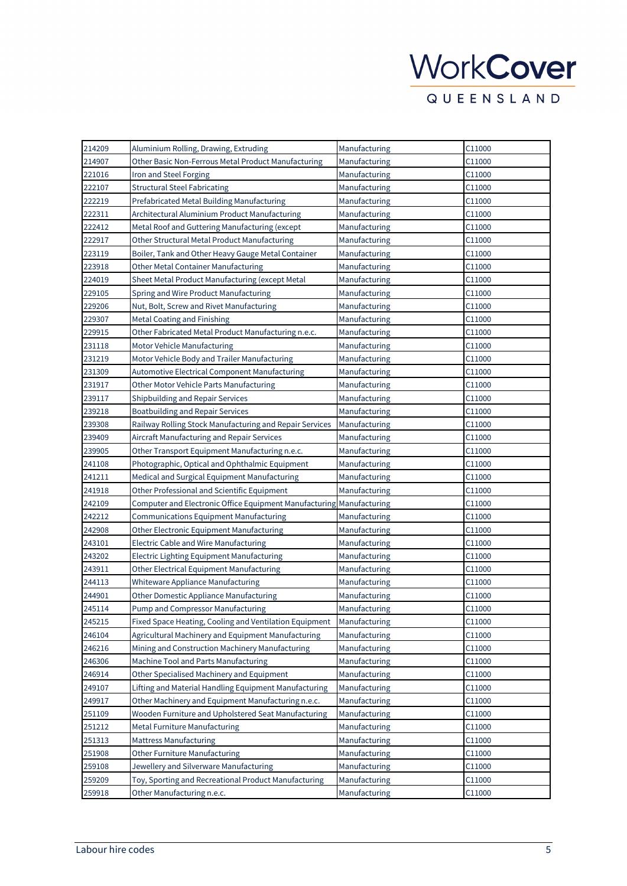| 214209 | Aluminium Rolling, Drawing, Extruding                   | Manufacturing | C11000             |
|--------|---------------------------------------------------------|---------------|--------------------|
| 214907 | Other Basic Non-Ferrous Metal Product Manufacturing     | Manufacturing | C11000             |
| 221016 | Iron and Steel Forging                                  | Manufacturing | C11000             |
| 222107 | <b>Structural Steel Fabricating</b>                     | Manufacturing | C11000             |
| 222219 | Prefabricated Metal Building Manufacturing              | Manufacturing | C11000             |
| 222311 | Architectural Aluminium Product Manufacturing           | Manufacturing | C11000             |
| 222412 | Metal Roof and Guttering Manufacturing (except          | Manufacturing | C11000             |
| 222917 | Other Structural Metal Product Manufacturing            | Manufacturing | C11000             |
| 223119 | Boiler, Tank and Other Heavy Gauge Metal Container      | Manufacturing | C11000             |
| 223918 | <b>Other Metal Container Manufacturing</b>              | Manufacturing | C11000             |
| 224019 | Sheet Metal Product Manufacturing (except Metal         | Manufacturing | C11000             |
| 229105 | Spring and Wire Product Manufacturing                   | Manufacturing | C11000             |
| 229206 | Nut, Bolt, Screw and Rivet Manufacturing                | Manufacturing | C11000             |
| 229307 | Metal Coating and Finishing                             | Manufacturing | C11000             |
| 229915 | Other Fabricated Metal Product Manufacturing n.e.c.     | Manufacturing | C11000             |
| 231118 | Motor Vehicle Manufacturing                             | Manufacturing | C11000             |
| 231219 | Motor Vehicle Body and Trailer Manufacturing            | Manufacturing | C11000             |
| 231309 | <b>Automotive Electrical Component Manufacturing</b>    | Manufacturing | C11000             |
| 231917 | Other Motor Vehicle Parts Manufacturing                 | Manufacturing | C11000             |
| 239117 | Shipbuilding and Repair Services                        | Manufacturing | C11000             |
| 239218 | <b>Boatbuilding and Repair Services</b>                 | Manufacturing | C11000             |
| 239308 | Railway Rolling Stock Manufacturing and Repair Services | Manufacturing | C11000             |
| 239409 | Aircraft Manufacturing and Repair Services              | Manufacturing | C11000             |
| 239905 | Other Transport Equipment Manufacturing n.e.c.          | Manufacturing | C11000             |
| 241108 | Photographic, Optical and Ophthalmic Equipment          | Manufacturing | C11000             |
| 241211 | Medical and Surgical Equipment Manufacturing            | Manufacturing | C11000             |
| 241918 | Other Professional and Scientific Equipment             | Manufacturing | C11000             |
| 242109 | Computer and Electronic Office Equipment Manufacturing  | Manufacturing | C11000             |
| 242212 | Communications Equipment Manufacturing                  | Manufacturing | C11000             |
| 242908 | Other Electronic Equipment Manufacturing                | Manufacturing | C11000             |
| 243101 | Electric Cable and Wire Manufacturing                   | Manufacturing | C11000             |
| 243202 | Electric Lighting Equipment Manufacturing               | Manufacturing | C11000             |
| 243911 | Other Electrical Equipment Manufacturing                | Manufacturing | C11000             |
| 244113 | Whiteware Appliance Manufacturing                       | Manufacturing | C11000             |
| 244901 | Other Domestic Appliance Manufacturing                  | Manufacturing | C <sub>11000</sub> |
| 245114 | Pump and Compressor Manufacturing                       | Manufacturing | C11000             |
| 245215 | Fixed Space Heating, Cooling and Ventilation Equipment  | Manufacturing | C11000             |
| 246104 | Agricultural Machinery and Equipment Manufacturing      | Manufacturing | C11000             |
| 246216 | Mining and Construction Machinery Manufacturing         | Manufacturing | C11000             |
| 246306 | Machine Tool and Parts Manufacturing                    | Manufacturing | C11000             |
| 246914 | Other Specialised Machinery and Equipment               | Manufacturing | C11000             |
| 249107 | Lifting and Material Handling Equipment Manufacturing   | Manufacturing | C11000             |
| 249917 | Other Machinery and Equipment Manufacturing n.e.c.      | Manufacturing | C11000             |
| 251109 | Wooden Furniture and Upholstered Seat Manufacturing     | Manufacturing | C11000             |
| 251212 | <b>Metal Furniture Manufacturing</b>                    | Manufacturing | C11000             |
| 251313 | <b>Mattress Manufacturing</b>                           | Manufacturing | C11000             |
| 251908 | Other Furniture Manufacturing                           | Manufacturing | C11000             |
| 259108 | Jewellery and Silverware Manufacturing                  | Manufacturing | C11000             |
| 259209 | Toy, Sporting and Recreational Product Manufacturing    | Manufacturing | C11000             |
| 259918 | Other Manufacturing n.e.c.                              | Manufacturing | C11000             |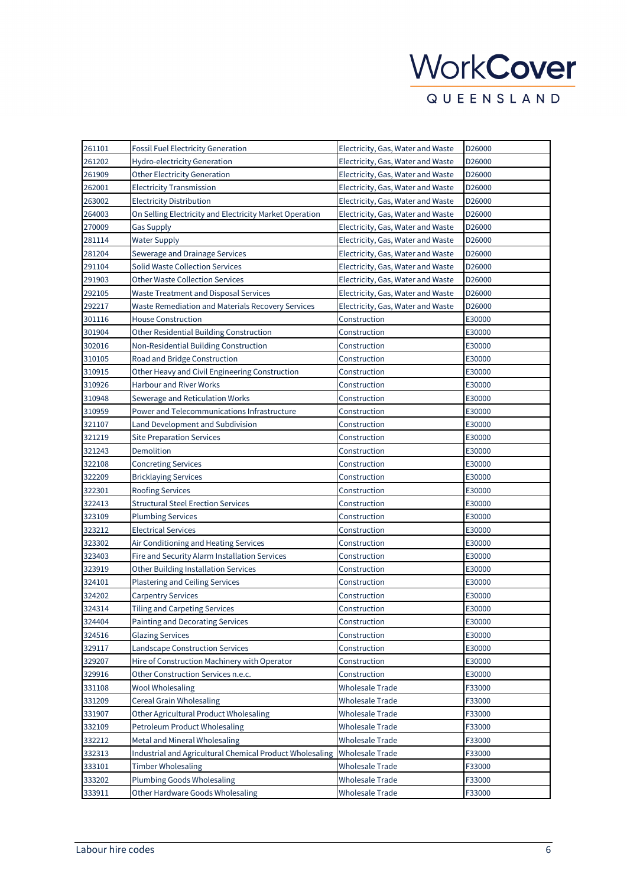# WorkCover

**QUEENSLAND** 

| 261101 | <b>Fossil Fuel Electricity Generation</b>                | Electricity, Gas, Water and Waste | D26000 |
|--------|----------------------------------------------------------|-----------------------------------|--------|
| 261202 | Hydro-electricity Generation                             | Electricity, Gas, Water and Waste | D26000 |
| 261909 | <b>Other Electricity Generation</b>                      | Electricity, Gas, Water and Waste | D26000 |
| 262001 | <b>Electricity Transmission</b>                          | Electricity, Gas, Water and Waste | D26000 |
| 263002 | <b>Electricity Distribution</b>                          | Electricity, Gas, Water and Waste | D26000 |
| 264003 | On Selling Electricity and Electricity Market Operation  | Electricity, Gas, Water and Waste | D26000 |
| 270009 | <b>Gas Supply</b>                                        | Electricity, Gas, Water and Waste | D26000 |
| 281114 | <b>Water Supply</b>                                      | Electricity, Gas, Water and Waste | D26000 |
| 281204 | Sewerage and Drainage Services                           | Electricity, Gas, Water and Waste | D26000 |
| 291104 | <b>Solid Waste Collection Services</b>                   | Electricity, Gas, Water and Waste | D26000 |
| 291903 | <b>Other Waste Collection Services</b>                   | Electricity, Gas, Water and Waste | D26000 |
| 292105 | <b>Waste Treatment and Disposal Services</b>             | Electricity, Gas, Water and Waste | D26000 |
| 292217 | Waste Remediation and Materials Recovery Services        | Electricity, Gas, Water and Waste | D26000 |
| 301116 | <b>House Construction</b>                                | Construction                      | E30000 |
| 301904 | Other Residential Building Construction                  | Construction                      | E30000 |
| 302016 | Non-Residential Building Construction                    | Construction                      | E30000 |
| 310105 | Road and Bridge Construction                             | Construction                      | E30000 |
| 310915 | Other Heavy and Civil Engineering Construction           | Construction                      | E30000 |
| 310926 | <b>Harbour and River Works</b>                           | Construction                      | E30000 |
| 310948 | Sewerage and Reticulation Works                          | Construction                      | E30000 |
| 310959 | Power and Telecommunications Infrastructure              | Construction                      | E30000 |
| 321107 | Land Development and Subdivision                         | Construction                      | E30000 |
| 321219 | <b>Site Preparation Services</b>                         | Construction                      | E30000 |
| 321243 | Demolition                                               | Construction                      | E30000 |
| 322108 | <b>Concreting Services</b>                               | Construction                      | E30000 |
| 322209 | <b>Bricklaying Services</b>                              | Construction                      | E30000 |
| 322301 | <b>Roofing Services</b>                                  | Construction                      | E30000 |
| 322413 | <b>Structural Steel Erection Services</b>                | Construction                      | E30000 |
| 323109 | <b>Plumbing Services</b>                                 | Construction                      | E30000 |
| 323212 | <b>Electrical Services</b>                               | Construction                      | E30000 |
| 323302 | Air Conditioning and Heating Services                    | Construction                      | E30000 |
| 323403 | Fire and Security Alarm Installation Services            | Construction                      | E30000 |
| 323919 | <b>Other Building Installation Services</b>              | Construction                      | E30000 |
| 324101 | <b>Plastering and Ceiling Services</b>                   | Construction                      | E30000 |
| 324202 | <b>Carpentry Services</b>                                | Construction                      | E30000 |
| 324314 | <b>Tiling and Carpeting Services</b>                     | Construction                      | E30000 |
| 324404 | Painting and Decorating Services                         | Construction                      | E30000 |
| 324516 | <b>Glazing Services</b>                                  | Construction                      | E30000 |
| 329117 | <b>Landscape Construction Services</b>                   | Construction                      | E30000 |
| 329207 | Hire of Construction Machinery with Operator             | Construction                      | E30000 |
| 329916 | Other Construction Services n.e.c.                       | Construction                      | E30000 |
| 331108 | <b>Wool Wholesaling</b>                                  | <b>Wholesale Trade</b>            | F33000 |
| 331209 | <b>Cereal Grain Wholesaling</b>                          | <b>Wholesale Trade</b>            | F33000 |
| 331907 | Other Agricultural Product Wholesaling                   | <b>Wholesale Trade</b>            | F33000 |
| 332109 | Petroleum Product Wholesaling                            | Wholesale Trade                   | F33000 |
| 332212 | Metal and Mineral Wholesaling                            | Wholesale Trade                   | F33000 |
| 332313 | Industrial and Agricultural Chemical Product Wholesaling | <b>Wholesale Trade</b>            | F33000 |
| 333101 | <b>Timber Wholesaling</b>                                | <b>Wholesale Trade</b>            | F33000 |
| 333202 | Plumbing Goods Wholesaling                               | <b>Wholesale Trade</b>            | F33000 |
| 333911 | Other Hardware Goods Wholesaling                         | <b>Wholesale Trade</b>            | F33000 |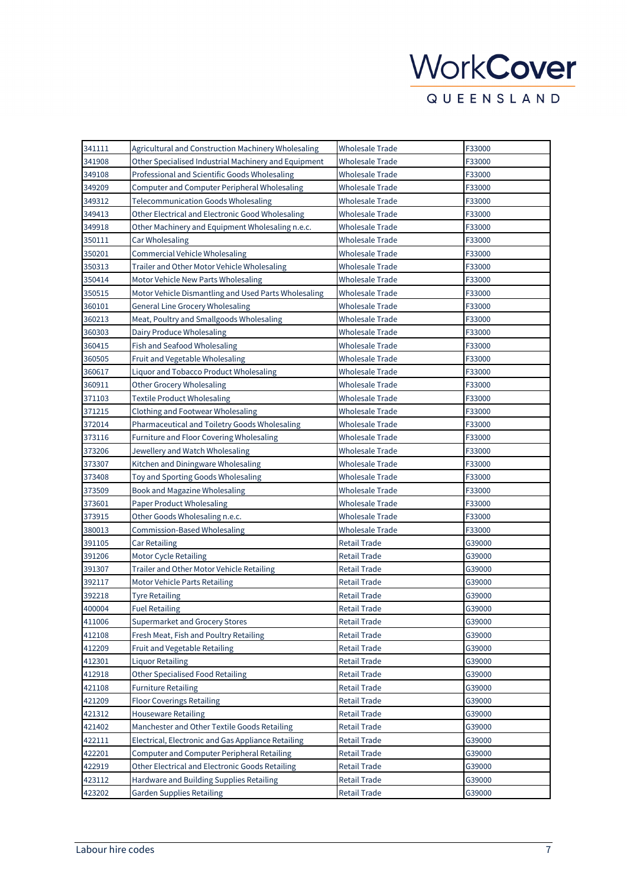| 341111 | Agricultural and Construction Machinery Wholesaling  | Wholesale Trade        | F33000 |
|--------|------------------------------------------------------|------------------------|--------|
| 341908 | Other Specialised Industrial Machinery and Equipment | Wholesale Trade        | F33000 |
| 349108 | Professional and Scientific Goods Wholesaling        | Wholesale Trade        | F33000 |
| 349209 | Computer and Computer Peripheral Wholesaling         | Wholesale Trade        | F33000 |
| 349312 | <b>Telecommunication Goods Wholesaling</b>           | Wholesale Trade        | F33000 |
| 349413 | Other Electrical and Electronic Good Wholesaling     | Wholesale Trade        | F33000 |
| 349918 | Other Machinery and Equipment Wholesaling n.e.c.     | Wholesale Trade        | F33000 |
| 350111 | Car Wholesaling                                      | <b>Wholesale Trade</b> | F33000 |
| 350201 | <b>Commercial Vehicle Wholesaling</b>                | Wholesale Trade        | F33000 |
| 350313 | Trailer and Other Motor Vehicle Wholesaling          | Wholesale Trade        | F33000 |
| 350414 | Motor Vehicle New Parts Wholesaling                  | Wholesale Trade        | F33000 |
| 350515 | Motor Vehicle Dismantling and Used Parts Wholesaling | <b>Wholesale Trade</b> | F33000 |
| 360101 | <b>General Line Grocery Wholesaling</b>              | Wholesale Trade        | F33000 |
| 360213 | Meat, Poultry and Smallgoods Wholesaling             | Wholesale Trade        | F33000 |
| 360303 | Dairy Produce Wholesaling                            | Wholesale Trade        | F33000 |
| 360415 | Fish and Seafood Wholesaling                         | <b>Wholesale Trade</b> | F33000 |
| 360505 | Fruit and Vegetable Wholesaling                      | <b>Wholesale Trade</b> | F33000 |
| 360617 | Liquor and Tobacco Product Wholesaling               | Wholesale Trade        | F33000 |
| 360911 | <b>Other Grocery Wholesaling</b>                     | <b>Wholesale Trade</b> | F33000 |
| 371103 | <b>Textile Product Wholesaling</b>                   | Wholesale Trade        | F33000 |
| 371215 | Clothing and Footwear Wholesaling                    | <b>Wholesale Trade</b> | F33000 |
| 372014 | Pharmaceutical and Toiletry Goods Wholesaling        | Wholesale Trade        | F33000 |
| 373116 | Furniture and Floor Covering Wholesaling             | Wholesale Trade        | F33000 |
| 373206 | Jewellery and Watch Wholesaling                      | Wholesale Trade        | F33000 |
| 373307 | Kitchen and Diningware Wholesaling                   | Wholesale Trade        | F33000 |
| 373408 | Toy and Sporting Goods Wholesaling                   | Wholesale Trade        | F33000 |
| 373509 | Book and Magazine Wholesaling                        | Wholesale Trade        | F33000 |
| 373601 | Paper Product Wholesaling                            | Wholesale Trade        | F33000 |
| 373915 | Other Goods Wholesaling n.e.c.                       | Wholesale Trade        | F33000 |
| 380013 | Commission-Based Wholesaling                         | Wholesale Trade        | F33000 |
| 391105 | <b>Car Retailing</b>                                 | Retail Trade           | G39000 |
| 391206 | <b>Motor Cycle Retailing</b>                         | Retail Trade           | G39000 |
| 391307 | Trailer and Other Motor Vehicle Retailing            | Retail Trade           | G39000 |
| 392117 | <b>Motor Vehicle Parts Retailing</b>                 | <b>Retail Trade</b>    | G39000 |
| 392218 | Tyre Retailing                                       | Retail Trade           | G39000 |
| 400004 | <b>Fuel Retailing</b>                                | Retail Trade           | G39000 |
| 411006 | Supermarket and Grocery Stores                       | Retail Trade           | G39000 |
| 412108 | Fresh Meat, Fish and Poultry Retailing               | Retail Trade           | G39000 |
| 412209 | Fruit and Vegetable Retailing                        | <b>Retail Trade</b>    | G39000 |
| 412301 | <b>Liquor Retailing</b>                              | <b>Retail Trade</b>    | G39000 |
| 412918 | <b>Other Specialised Food Retailing</b>              | <b>Retail Trade</b>    | G39000 |
| 421108 | <b>Furniture Retailing</b>                           | Retail Trade           | G39000 |
| 421209 | <b>Floor Coverings Retailing</b>                     | <b>Retail Trade</b>    | G39000 |
| 421312 | <b>Houseware Retailing</b>                           | <b>Retail Trade</b>    | G39000 |
| 421402 | Manchester and Other Textile Goods Retailing         | <b>Retail Trade</b>    | G39000 |
| 422111 | Electrical, Electronic and Gas Appliance Retailing   | <b>Retail Trade</b>    | G39000 |
| 422201 | Computer and Computer Peripheral Retailing           | <b>Retail Trade</b>    | G39000 |
| 422919 | Other Electrical and Electronic Goods Retailing      | <b>Retail Trade</b>    | G39000 |
| 423112 | Hardware and Building Supplies Retailing             | <b>Retail Trade</b>    | G39000 |
| 423202 | <b>Garden Supplies Retailing</b>                     | <b>Retail Trade</b>    | G39000 |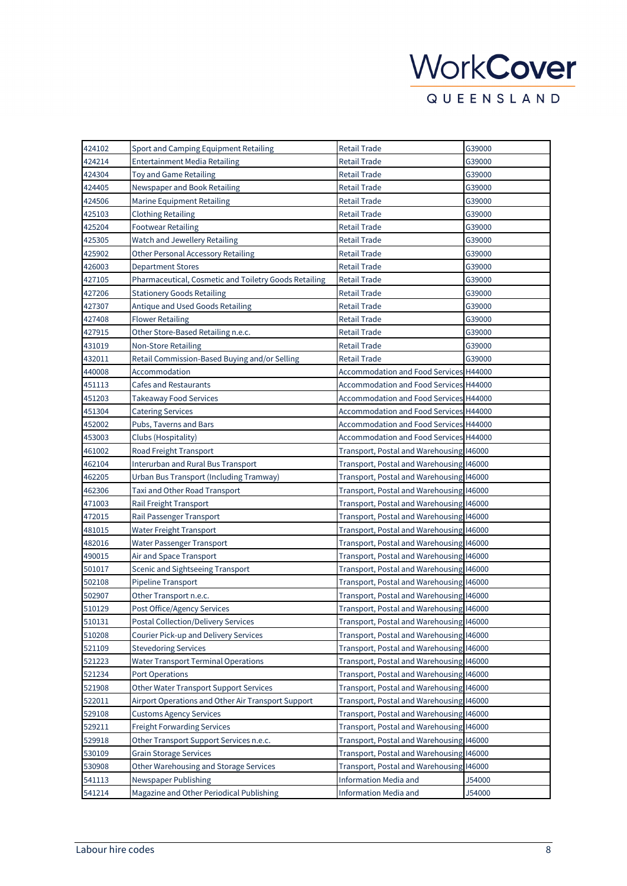| 424102 | Sport and Camping Equipment Retailing                 | Retail Trade                                  | G39000 |
|--------|-------------------------------------------------------|-----------------------------------------------|--------|
| 424214 | Entertainment Media Retailing                         | Retail Trade                                  | G39000 |
| 424304 | Toy and Game Retailing                                | Retail Trade                                  | G39000 |
| 424405 | Newspaper and Book Retailing                          | Retail Trade                                  | G39000 |
| 424506 | Marine Equipment Retailing                            | Retail Trade                                  | G39000 |
| 425103 | <b>Clothing Retailing</b>                             | <b>Retail Trade</b>                           | G39000 |
| 425204 | <b>Footwear Retailing</b>                             | Retail Trade                                  | G39000 |
| 425305 | Watch and Jewellery Retailing                         | Retail Trade                                  | G39000 |
| 425902 | Other Personal Accessory Retailing                    | Retail Trade                                  | G39000 |
| 426003 | <b>Department Stores</b>                              | Retail Trade                                  | G39000 |
| 427105 | Pharmaceutical, Cosmetic and Toiletry Goods Retailing | <b>Retail Trade</b>                           | G39000 |
| 427206 | <b>Stationery Goods Retailing</b>                     | Retail Trade                                  | G39000 |
| 427307 | Antique and Used Goods Retailing                      | Retail Trade                                  | G39000 |
| 427408 | <b>Flower Retailing</b>                               | Retail Trade                                  | G39000 |
| 427915 | Other Store-Based Retailing n.e.c.                    | Retail Trade                                  | G39000 |
| 431019 | <b>Non-Store Retailing</b>                            | Retail Trade                                  | G39000 |
| 432011 | Retail Commission-Based Buying and/or Selling         | Retail Trade                                  | G39000 |
| 440008 | Accommodation                                         | <b>Accommodation and Food Services H44000</b> |        |
| 451113 | <b>Cafes and Restaurants</b>                          | Accommodation and Food Services H44000        |        |
| 451203 | <b>Takeaway Food Services</b>                         | Accommodation and Food Services H44000        |        |
| 451304 | <b>Catering Services</b>                              | <b>Accommodation and Food Services H44000</b> |        |
| 452002 | Pubs, Taverns and Bars                                | Accommodation and Food Services H44000        |        |
| 453003 | Clubs (Hospitality)                                   | Accommodation and Food Services H44000        |        |
| 461002 | Road Freight Transport                                | Transport, Postal and Warehousing 146000      |        |
| 462104 | Interurban and Rural Bus Transport                    | Transport, Postal and Warehousing 146000      |        |
| 462205 | Urban Bus Transport (Including Tramway)               | Transport, Postal and Warehousing 146000      |        |
| 462306 | Taxi and Other Road Transport                         | Transport, Postal and Warehousing 146000      |        |
| 471003 | Rail Freight Transport                                | Transport, Postal and Warehousing 146000      |        |
| 472015 | Rail Passenger Transport                              | Transport, Postal and Warehousing I46000      |        |
| 481015 | Water Freight Transport                               | Transport, Postal and Warehousing I46000      |        |
| 482016 | Water Passenger Transport                             | Transport, Postal and Warehousing 146000      |        |
| 490015 | Air and Space Transport                               | Transport, Postal and Warehousing 146000      |        |
| 501017 | Scenic and Sightseeing Transport                      | Transport, Postal and Warehousing 146000      |        |
| 502108 | <b>Pipeline Transport</b>                             | Transport, Postal and Warehousing 146000      |        |
| 502907 | Other Transport n.e.c.                                | Transport, Postal and Warehousing I46000      |        |
| 510129 | Post Office/Agency Services                           | Transport, Postal and Warehousing I46000      |        |
| 510131 | <b>Postal Collection/Delivery Services</b>            | Transport, Postal and Warehousing 146000      |        |
| 510208 | Courier Pick-up and Delivery Services                 | Transport, Postal and Warehousing I46000      |        |
| 521109 | <b>Stevedoring Services</b>                           | Transport, Postal and Warehousing 146000      |        |
| 521223 | <b>Water Transport Terminal Operations</b>            | Transport, Postal and Warehousing 146000      |        |
| 521234 | <b>Port Operations</b>                                | Transport, Postal and Warehousing 146000      |        |
| 521908 | <b>Other Water Transport Support Services</b>         | Transport, Postal and Warehousing 146000      |        |
| 522011 | Airport Operations and Other Air Transport Support    | Transport, Postal and Warehousing 146000      |        |
| 529108 | <b>Customs Agency Services</b>                        | Transport, Postal and Warehousing I46000      |        |
| 529211 | <b>Freight Forwarding Services</b>                    | Transport, Postal and Warehousing 146000      |        |
| 529918 | Other Transport Support Services n.e.c.               | Transport, Postal and Warehousing 146000      |        |
| 530109 | <b>Grain Storage Services</b>                         | Transport, Postal and Warehousing 146000      |        |
| 530908 | Other Warehousing and Storage Services                | Transport, Postal and Warehousing 146000      |        |
| 541113 | Newspaper Publishing                                  | Information Media and                         | J54000 |
| 541214 | Magazine and Other Periodical Publishing              | Information Media and                         | J54000 |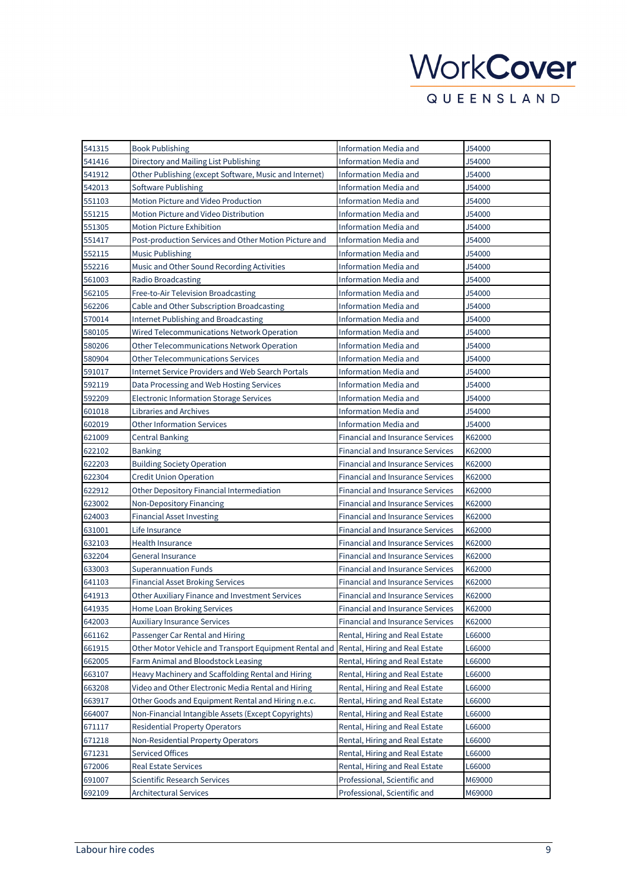| 541315 | <b>Book Publishing</b>                                 | Information Media and                   | J54000 |
|--------|--------------------------------------------------------|-----------------------------------------|--------|
| 541416 | Directory and Mailing List Publishing                  | Information Media and                   | J54000 |
| 541912 | Other Publishing (except Software, Music and Internet) | Information Media and                   | J54000 |
| 542013 | Software Publishing                                    | Information Media and                   | J54000 |
| 551103 | Motion Picture and Video Production                    | Information Media and                   | J54000 |
| 551215 | Motion Picture and Video Distribution                  | Information Media and                   | J54000 |
| 551305 | <b>Motion Picture Exhibition</b>                       | <b>Information Media and</b>            | J54000 |
| 551417 | Post-production Services and Other Motion Picture and  | Information Media and                   | J54000 |
| 552115 | <b>Music Publishing</b>                                | Information Media and                   | J54000 |
| 552216 | Music and Other Sound Recording Activities             | Information Media and                   | J54000 |
| 561003 | Radio Broadcasting                                     | <b>Information Media and</b>            | J54000 |
| 562105 | Free-to-Air Television Broadcasting                    | Information Media and                   | J54000 |
| 562206 | Cable and Other Subscription Broadcasting              | <b>Information Media and</b>            | J54000 |
| 570014 | <b>Internet Publishing and Broadcasting</b>            | Information Media and                   | J54000 |
| 580105 | Wired Telecommunications Network Operation             | Information Media and                   | J54000 |
| 580206 | Other Telecommunications Network Operation             | Information Media and                   | J54000 |
| 580904 | Other Telecommunications Services                      | Information Media and                   | J54000 |
| 591017 | Internet Service Providers and Web Search Portals      | Information Media and                   | J54000 |
| 592119 | Data Processing and Web Hosting Services               | <b>Information Media and</b>            | J54000 |
| 592209 | <b>Electronic Information Storage Services</b>         | Information Media and                   | J54000 |
| 601018 | <b>Libraries and Archives</b>                          | Information Media and                   | J54000 |
| 602019 | <b>Other Information Services</b>                      | Information Media and                   | J54000 |
| 621009 | <b>Central Banking</b>                                 | Financial and Insurance Services        | K62000 |
| 622102 | Banking                                                | <b>Financial and Insurance Services</b> | K62000 |
| 622203 | <b>Building Society Operation</b>                      | Financial and Insurance Services        | K62000 |
| 622304 | Credit Union Operation                                 | Financial and Insurance Services        | K62000 |
| 622912 | Other Depository Financial Intermediation              | Financial and Insurance Services        | K62000 |
| 623002 | Non-Depository Financing                               | Financial and Insurance Services        | K62000 |
| 624003 | <b>Financial Asset Investing</b>                       | Financial and Insurance Services        | K62000 |
| 631001 | Life Insurance                                         | <b>Financial and Insurance Services</b> | K62000 |
| 632103 | Health Insurance                                       | <b>Financial and Insurance Services</b> | K62000 |
| 632204 | General Insurance                                      | <b>Financial and Insurance Services</b> | K62000 |
| 633003 | <b>Superannuation Funds</b>                            | <b>Financial and Insurance Services</b> | K62000 |
| 641103 | <b>Financial Asset Broking Services</b>                | <b>Financial and Insurance Services</b> | K62000 |
| 641913 | Other Auxiliary Finance and Investment Services        | Financial and Insurance Services        | K62000 |
| 641935 | Home Loan Broking Services                             | Financial and Insurance Services        | K62000 |
| 642003 | Auxiliary Insurance Services                           | Financial and Insurance Services        | K62000 |
| 661162 | Passenger Car Rental and Hiring                        | Rental, Hiring and Real Estate          | L66000 |
| 661915 | Other Motor Vehicle and Transport Equipment Rental and | Rental, Hiring and Real Estate          | L66000 |
| 662005 | Farm Animal and Bloodstock Leasing                     | Rental, Hiring and Real Estate          | L66000 |
| 663107 | Heavy Machinery and Scaffolding Rental and Hiring      | Rental, Hiring and Real Estate          | L66000 |
| 663208 | Video and Other Electronic Media Rental and Hiring     | Rental, Hiring and Real Estate          | L66000 |
| 663917 | Other Goods and Equipment Rental and Hiring n.e.c.     | Rental, Hiring and Real Estate          | L66000 |
| 664007 | Non-Financial Intangible Assets (Except Copyrights)    | Rental, Hiring and Real Estate          | L66000 |
| 671117 | <b>Residential Property Operators</b>                  | Rental, Hiring and Real Estate          | L66000 |
| 671218 | Non-Residential Property Operators                     | Rental, Hiring and Real Estate          | L66000 |
| 671231 | <b>Serviced Offices</b>                                | Rental, Hiring and Real Estate          | L66000 |
| 672006 | <b>Real Estate Services</b>                            | Rental, Hiring and Real Estate          | L66000 |
| 691007 | Scientific Research Services                           | Professional, Scientific and            | M69000 |
| 692109 | <b>Architectural Services</b>                          | Professional, Scientific and            | M69000 |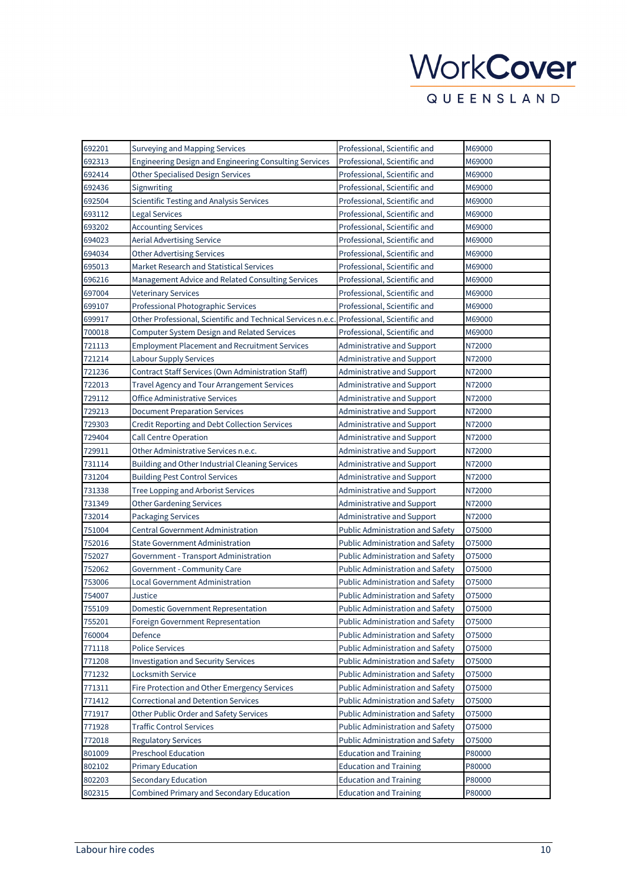| 692201 | Surveying and Mapping Services                              | Professional, Scientific and            | M69000 |
|--------|-------------------------------------------------------------|-----------------------------------------|--------|
| 692313 | Engineering Design and Engineering Consulting Services      | Professional, Scientific and            | M69000 |
| 692414 | <b>Other Specialised Design Services</b>                    | Professional, Scientific and            | M69000 |
| 692436 | Signwriting                                                 | Professional, Scientific and            | M69000 |
| 692504 | <b>Scientific Testing and Analysis Services</b>             | Professional, Scientific and            | M69000 |
| 693112 | <b>Legal Services</b>                                       | Professional, Scientific and            | M69000 |
| 693202 | <b>Accounting Services</b>                                  | Professional, Scientific and            | M69000 |
| 694023 | <b>Aerial Advertising Service</b>                           | Professional, Scientific and            | M69000 |
| 694034 | <b>Other Advertising Services</b>                           | Professional, Scientific and            | M69000 |
| 695013 | Market Research and Statistical Services                    | Professional, Scientific and            | M69000 |
| 696216 | Management Advice and Related Consulting Services           | Professional, Scientific and            | M69000 |
| 697004 | <b>Veterinary Services</b>                                  | Professional, Scientific and            | M69000 |
| 699107 | Professional Photographic Services                          | Professional, Scientific and            | M69000 |
| 699917 | Other Professional, Scientific and Technical Services n.e.c | Professional, Scientific and            | M69000 |
| 700018 | Computer System Design and Related Services                 | Professional, Scientific and            | M69000 |
| 721113 | <b>Employment Placement and Recruitment Services</b>        | <b>Administrative and Support</b>       | N72000 |
| 721214 | <b>Labour Supply Services</b>                               | Administrative and Support              | N72000 |
| 721236 | Contract Staff Services (Own Administration Staff)          | Administrative and Support              | N72000 |
| 722013 | Travel Agency and Tour Arrangement Services                 | <b>Administrative and Support</b>       | N72000 |
| 729112 | Office Administrative Services                              | Administrative and Support              | N72000 |
| 729213 | <b>Document Preparation Services</b>                        | Administrative and Support              | N72000 |
| 729303 | Credit Reporting and Debt Collection Services               | <b>Administrative and Support</b>       | N72000 |
| 729404 | <b>Call Centre Operation</b>                                | Administrative and Support              | N72000 |
| 729911 | Other Administrative Services n.e.c.                        | Administrative and Support              | N72000 |
| 731114 | Building and Other Industrial Cleaning Services             | Administrative and Support              | N72000 |
| 731204 | <b>Building Pest Control Services</b>                       | Administrative and Support              | N72000 |
| 731338 | Tree Lopping and Arborist Services                          | Administrative and Support              | N72000 |
| 731349 | <b>Other Gardening Services</b>                             | <b>Administrative and Support</b>       | N72000 |
| 732014 | <b>Packaging Services</b>                                   | Administrative and Support              | N72000 |
| 751004 | Central Government Administration                           | Public Administration and Safety        | 075000 |
| 752016 | <b>State Government Administration</b>                      | <b>Public Administration and Safety</b> | 075000 |
| 752027 | Government - Transport Administration                       | Public Administration and Safety        | 075000 |
| 752062 | Government - Community Care                                 | <b>Public Administration and Safety</b> | 075000 |
| 753006 | Local Government Administration                             | <b>Public Administration and Safety</b> | 075000 |
| 754007 | Justice                                                     | <b>Public Administration and Safety</b> | 075000 |
| 755109 | <b>Domestic Government Representation</b>                   | Public Administration and Safety        | 075000 |
| 755201 | <b>Foreign Government Representation</b>                    | Public Administration and Safety        | 075000 |
| 760004 | Defence                                                     | <b>Public Administration and Safety</b> | 075000 |
| 771118 | <b>Police Services</b>                                      | <b>Public Administration and Safety</b> | 075000 |
| 771208 | <b>Investigation and Security Services</b>                  | <b>Public Administration and Safety</b> | 075000 |
| 771232 | Locksmith Service                                           | Public Administration and Safety        | 075000 |
| 771311 | Fire Protection and Other Emergency Services                | <b>Public Administration and Safety</b> | 075000 |
| 771412 | <b>Correctional and Detention Services</b>                  | <b>Public Administration and Safety</b> | 075000 |
| 771917 | Other Public Order and Safety Services                      | Public Administration and Safety        | 075000 |
| 771928 | <b>Traffic Control Services</b>                             | Public Administration and Safety        | 075000 |
| 772018 | <b>Regulatory Services</b>                                  | Public Administration and Safety        | 075000 |
| 801009 | <b>Preschool Education</b>                                  | <b>Education and Training</b>           | P80000 |
| 802102 | <b>Primary Education</b>                                    | <b>Education and Training</b>           | P80000 |
| 802203 | Secondary Education                                         | <b>Education and Training</b>           | P80000 |
| 802315 | Combined Primary and Secondary Education                    | <b>Education and Training</b>           | P80000 |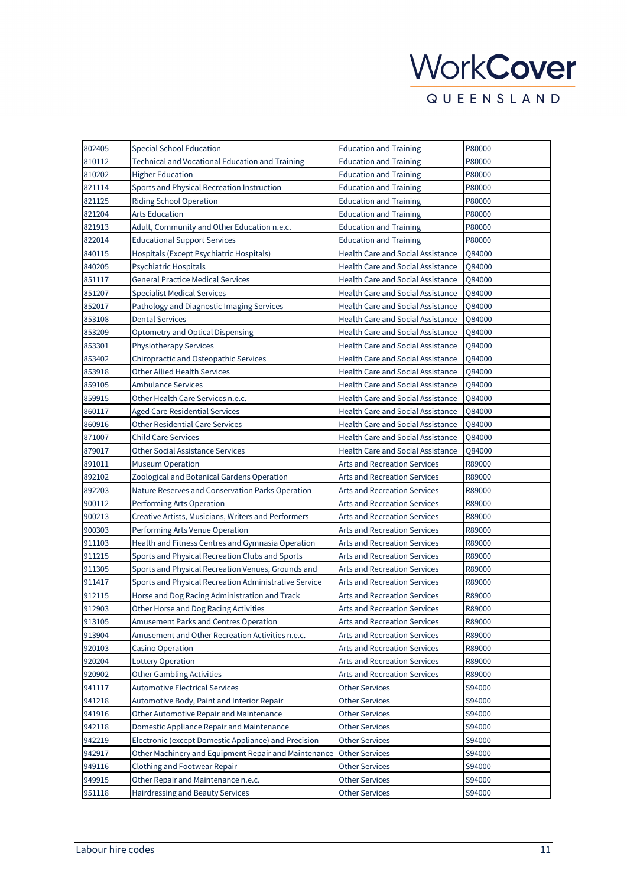| 802405 | <b>Special School Education</b>                       | <b>Education and Training</b>            | P80000 |
|--------|-------------------------------------------------------|------------------------------------------|--------|
| 810112 | Technical and Vocational Education and Training       | <b>Education and Training</b>            | P80000 |
| 810202 | Higher Education                                      | <b>Education and Training</b>            | P80000 |
| 821114 | Sports and Physical Recreation Instruction            | <b>Education and Training</b>            | P80000 |
| 821125 | Riding School Operation                               | <b>Education and Training</b>            | P80000 |
| 821204 | <b>Arts Education</b>                                 | <b>Education and Training</b>            | P80000 |
| 821913 | Adult, Community and Other Education n.e.c.           | <b>Education and Training</b>            | P80000 |
| 822014 | <b>Educational Support Services</b>                   | <b>Education and Training</b>            | P80000 |
| 840115 | Hospitals (Except Psychiatric Hospitals)              | <b>Health Care and Social Assistance</b> | Q84000 |
| 840205 | Psychiatric Hospitals                                 | <b>Health Care and Social Assistance</b> | Q84000 |
| 851117 | <b>General Practice Medical Services</b>              | Health Care and Social Assistance        | Q84000 |
| 851207 | <b>Specialist Medical Services</b>                    | <b>Health Care and Social Assistance</b> | Q84000 |
| 852017 | Pathology and Diagnostic Imaging Services             | <b>Health Care and Social Assistance</b> | Q84000 |
| 853108 | <b>Dental Services</b>                                | <b>Health Care and Social Assistance</b> | Q84000 |
| 853209 | <b>Optometry and Optical Dispensing</b>               | <b>Health Care and Social Assistance</b> | Q84000 |
| 853301 | Physiotherapy Services                                | <b>Health Care and Social Assistance</b> | Q84000 |
| 853402 | Chiropractic and Osteopathic Services                 | <b>Health Care and Social Assistance</b> | Q84000 |
| 853918 | <b>Other Allied Health Services</b>                   | Health Care and Social Assistance        | Q84000 |
| 859105 | <b>Ambulance Services</b>                             | <b>Health Care and Social Assistance</b> | Q84000 |
| 859915 | Other Health Care Services n.e.c.                     | <b>Health Care and Social Assistance</b> | Q84000 |
| 860117 | <b>Aged Care Residential Services</b>                 | <b>Health Care and Social Assistance</b> | Q84000 |
| 860916 | <b>Other Residential Care Services</b>                | <b>Health Care and Social Assistance</b> | Q84000 |
| 871007 | <b>Child Care Services</b>                            | <b>Health Care and Social Assistance</b> | Q84000 |
| 879017 | <b>Other Social Assistance Services</b>               | Health Care and Social Assistance        | Q84000 |
| 891011 | <b>Museum Operation</b>                               | <b>Arts and Recreation Services</b>      | R89000 |
| 892102 | Zoological and Botanical Gardens Operation            | Arts and Recreation Services             | R89000 |
| 892203 | Nature Reserves and Conservation Parks Operation      | Arts and Recreation Services             | R89000 |
| 900112 | Performing Arts Operation                             | <b>Arts and Recreation Services</b>      | R89000 |
| 900213 | Creative Artists, Musicians, Writers and Performers   | Arts and Recreation Services             | R89000 |
| 900303 | Performing Arts Venue Operation                       | <b>Arts and Recreation Services</b>      | R89000 |
| 911103 | Health and Fitness Centres and Gymnasia Operation     | Arts and Recreation Services             | R89000 |
| 911215 | Sports and Physical Recreation Clubs and Sports       | <b>Arts and Recreation Services</b>      | R89000 |
| 911305 | Sports and Physical Recreation Venues, Grounds and    | <b>Arts and Recreation Services</b>      | R89000 |
| 911417 | Sports and Physical Recreation Administrative Service | <b>Arts and Recreation Services</b>      | R89000 |
| 912115 | Horse and Dog Racing Administration and Track         | <b>Arts and Recreation Services</b>      | R89000 |
| 912903 | Other Horse and Dog Racing Activities                 | Arts and Recreation Services             | R89000 |
| 913105 | <b>Amusement Parks and Centres Operation</b>          | Arts and Recreation Services             | R89000 |
| 913904 | Amusement and Other Recreation Activities n.e.c.      | <b>Arts and Recreation Services</b>      | R89000 |
| 920103 | <b>Casino Operation</b>                               | <b>Arts and Recreation Services</b>      | R89000 |
| 920204 | Lottery Operation                                     | <b>Arts and Recreation Services</b>      | R89000 |
| 920902 | <b>Other Gambling Activities</b>                      | Arts and Recreation Services             | R89000 |
| 941117 | <b>Automotive Electrical Services</b>                 | <b>Other Services</b>                    | S94000 |
| 941218 | Automotive Body, Paint and Interior Repair            | <b>Other Services</b>                    | S94000 |
| 941916 | Other Automotive Repair and Maintenance               | <b>Other Services</b>                    | S94000 |
| 942118 | Domestic Appliance Repair and Maintenance             | <b>Other Services</b>                    | S94000 |
| 942219 | Electronic (except Domestic Appliance) and Precision  | <b>Other Services</b>                    | S94000 |
| 942917 | Other Machinery and Equipment Repair and Maintenance  | <b>Other Services</b>                    | S94000 |
| 949116 | Clothing and Footwear Repair                          | <b>Other Services</b>                    | S94000 |
| 949915 | Other Repair and Maintenance n.e.c.                   | <b>Other Services</b>                    | S94000 |
| 951118 | Hairdressing and Beauty Services                      | <b>Other Services</b>                    | S94000 |